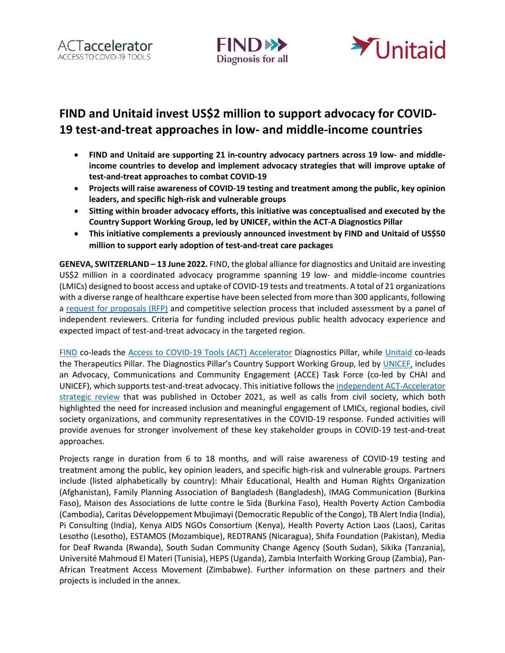





# **FIND and Unitaid invest US\$2 million to support advocacy for COVID-19 test-and-treat approaches in low- and middle-income countries**

- **FIND and Unitaid are supporting 21 in-country advocacy partners across 19 low- and middleincome countries to develop and implement advocacy strategies that will improve uptake of test-and-treat approaches to combat COVID-19**
- **Projects will raise awareness of COVID-19 testing and treatment among the public, key opinion leaders, and specific high-risk and vulnerable groups**
- **Sitting within broader advocacy efforts, this initiative was conceptualised and executed by the Country Support Working Group, led by UNICEF, within the ACT-A Diagnostics Pillar**
- **This initiative complements a previously announced investment by FIND and Unitaid of US\$50 million to support early adoption of test-and-treat care packages**

**GENEVA, SWITZERLAND – 13 June 2022.** FIND, the global alliance for diagnostics and Unitaid are investing US\$2 million in a coordinated advocacy programme spanning 19 low- and middle-income countries (LMICs) designed to boost access and uptake of COVID-19 tests and treatments. A total of 21 organizations with a diverse range of healthcare expertise have been selected from more than 300 applicants, following a [request for proposals \(RFP\)](https://www.finddx.org/wp-content/uploads/2022/01/20200111_rfp_advocacy_VF_EN.pdf) and competitive selection process that included assessment by a panel of independent reviewers. Criteria for funding included previous public health advocacy experience and expected impact of test-and-treat advocacy in the targeted region.

[FIND](https://www.finddx.org/) co-leads the [Access to COVID-19 Tools \(ACT\) Accelerator](https://www.act-a.org/about) Diagnostics Pillar, while [Unitaid](https://unitaid.org/#en) co-leads the Therapeutics Pillar. The Diagnostics Pillar's Country Support Working Group, led by [UNICEF,](http://www.unicef.org/) includes an Advocacy, Communications and Community Engagement (ACCE) Task Force (co-led by CHAI and UNICEF), which supports test-and-treat advocacy. This initiative follows the [independent ACT-Accelerator](https://www.who.int/publications/m/item/act-accelerator-strategic-review)  [strategic review](https://www.who.int/publications/m/item/act-accelerator-strategic-review) that was published in October 2021, as well as calls from civil society, which both highlighted the need for increased inclusion and meaningful engagement of LMICs, regional bodies, civil society organizations, and community representatives in the COVID-19 response. Funded activities will provide avenues for stronger involvement of these key stakeholder groups in COVID-19 test-and-treat approaches.

Projects range in duration from 6 to 18 months, and will raise awareness of COVID-19 testing and treatment among the public, key opinion leaders, and specific high-risk and vulnerable groups. Partners include (listed alphabetically by country): Mhair Educational, Health and Human Rights Organization (Afghanistan), Family Planning Association of Bangladesh (Bangladesh), IMAG Communication (Burkina Faso), Maison des Associations de lutte contre le Sida (Burkina Faso), Health Poverty Action Cambodia (Cambodia), Caritas Développement Mbujimayi (Democratic Republic of the Congo), TB Alert India (India), Pi Consulting (India), Kenya AIDS NGOs Consortium (Kenya), Health Poverty Action Laos (Laos), Caritas Lesotho (Lesotho), ESTAMOS (Mozambique), REDTRANS (Nicaragua), Shifa Foundation (Pakistan), Media for Deaf Rwanda (Rwanda), South Sudan Community Change Agency (South Sudan), Sikika (Tanzania), Université Mahmoud El Materi (Tunisia), HEPS (Uganda), Zambia Interfaith Working Group (Zambia), Pan-African Treatment Access Movement (Zimbabwe). Further information on these partners and their projects is included in the annex.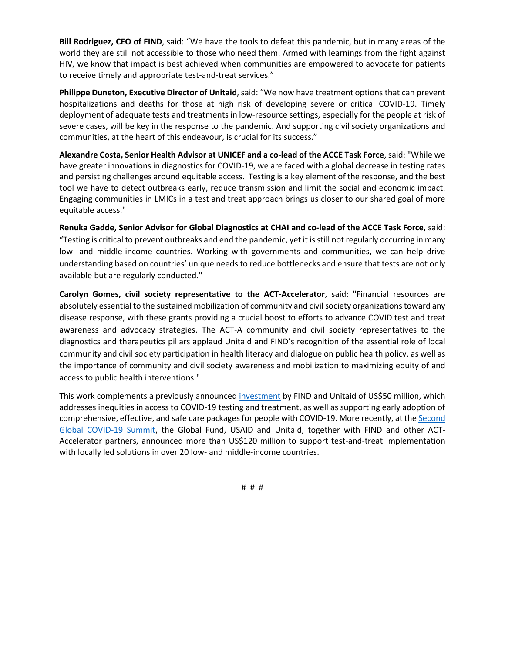**Bill Rodriguez, CEO of FIND**, said: "We have the tools to defeat this pandemic, but in many areas of the world they are still not accessible to those who need them. Armed with learnings from the fight against HIV, we know that impact is best achieved when communities are empowered to advocate for patients to receive timely and appropriate test-and-treat services."

**Philippe Duneton, Executive Director of Unitaid**, said: "We now have treatment options that can prevent hospitalizations and deaths for those at high risk of developing severe or critical COVID-19. Timely deployment of adequate tests and treatments in low-resource settings, especially for the people at risk of severe cases, will be key in the response to the pandemic. And supporting civil society organizations and communities, at the heart of this endeavour, is crucial for its success."

**Alexandre Costa, Senior Health Advisor at UNICEF and a co-lead of the ACCE Task Force**, said: "While we have greater innovations in diagnostics for COVID-19, we are faced with a global decrease in testing rates and persisting challenges around equitable access. Testing is a key element of the response, and the best tool we have to detect outbreaks early, reduce transmission and limit the social and economic impact. Engaging communities in LMICs in a test and treat approach brings us closer to our shared goal of more equitable access."

**Renuka Gadde, Senior Advisor for Global Diagnostics at CHAI and co-lead of the ACCE Task Force**, said: "Testing is critical to prevent outbreaks and end the pandemic, yet it is still not regularly occurring in many low- and middle-income countries. Working with governments and communities, we can help drive understanding based on countries' unique needs to reduce bottlenecks and ensure that tests are not only available but are regularly conducted."

**Carolyn Gomes, civil society representative to the ACT-Accelerator**, said: "Financial resources are absolutely essential to the sustained mobilization of community and civil society organizations toward any disease response, with these grants providing a crucial boost to efforts to advance COVID test and treat awareness and advocacy strategies. The ACT-A community and civil society representatives to the diagnostics and therapeutics pillars applaud Unitaid and FIND's recognition of the essential role of local community and civil society participation in health literacy and dialogue on public health policy, as well as the importance of community and civil society awareness and mobilization to maximizing equity of and access to public health interventions."

This work complements a previously announced [investment](https://unitaid.org/news-blog/find-unitaid-invest-50m-covid19-nov2021/#en) by FIND and Unitaid of US\$50 million, which addresses inequities in access to COVID-19 testing and treatment, as well as supporting early adoption of comprehensive, effective, and safe care packages for people with COVID-19. More recently, at the [Second](https://www.whitehouse.gov/briefing-room/statements-releases/2022/04/18/joint-statement-between-the-united-states-belize-germany-indonesia-and-senegal-on-the-announcement-of-the-second-global-covid-19-summit/)  [Global COVID-19 Summit,](https://www.whitehouse.gov/briefing-room/statements-releases/2022/04/18/joint-statement-between-the-united-states-belize-germany-indonesia-and-senegal-on-the-announcement-of-the-second-global-covid-19-summit/) the Global Fund, USAID and Unitaid, together with FIND and other ACT-Accelerator partners, announced more than US\$120 million to support test-and-treat implementation with locally led solutions in over 20 low- and middle-income countries.

# # #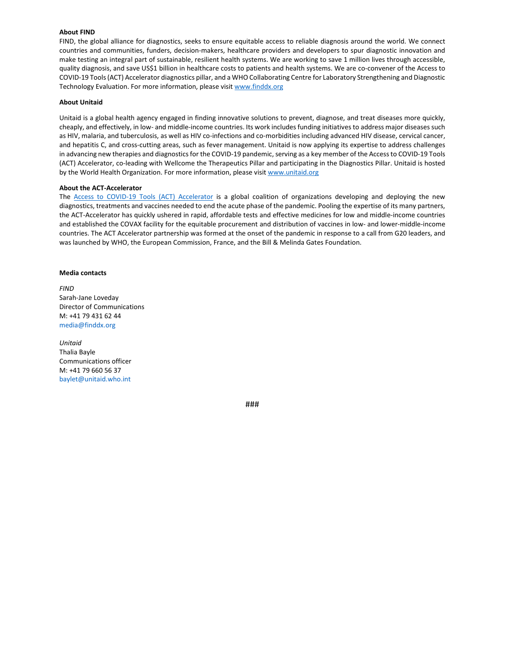#### **About FIND**

FIND, the global alliance for diagnostics, seeks to ensure equitable access to reliable diagnosis around the world. We connect countries and communities, funders, decision-makers, healthcare providers and developers to spur diagnostic innovation and make testing an integral part of sustainable, resilient health systems. We are working to save 1 million lives through accessible, quality diagnosis, and save US\$1 billion in healthcare costs to patients and health systems. We are co-convener of the Access to COVID-19 Tools (ACT) Accelerator diagnostics pillar, and a WHO Collaborating Centre for Laboratory Strengthening and Diagnostic Technology Evaluation. For more information, please visi[t www.finddx.org](http://www.finddx.org/)

#### **About Unitaid**

Unitaid is a global health agency engaged in finding innovative solutions to prevent, diagnose, and treat diseases more quickly, cheaply, and effectively, in low- and middle-income countries. Its work includes funding initiatives to address major diseases such as HIV, malaria, and tuberculosis, as well as HIV co-infections and co-morbidities including advanced HIV disease, cervical cancer, and hepatitis C, and cross-cutting areas, such as fever management. Unitaid is now applying its expertise to address challenges in advancing new therapies and diagnostics for the COVID-19 pandemic, serving as a key member of the Access to COVID-19 Tools (ACT) Accelerator, co-leading with Wellcome the Therapeutics Pillar and participating in the Diagnostics Pillar. Unitaid is hosted by the World Health Organization. For more information, please visit [www.unitaid.org](http://www.unitaid.org/)

#### **About the ACT-Accelerator**

The [Access to COVID-19 Tools \(ACT\) Accelerator](https://www.who.int/initiatives/act-accelerator/about) is a global coalition of organizations developing and deploying the new diagnostics, treatments and vaccines needed to end the acute phase of the pandemic. Pooling the expertise of its many partners, the ACT-Accelerator has quickly ushered in rapid, affordable tests and effective medicines for low and middle-income countries and established the COVAX facility for the equitable procurement and distribution of vaccines in low- and lower-middle-income countries. The ACT Accelerator partnership was formed at the onset of the pandemic in response to a call from G20 leaders, and was launched by WHO, the European Commission, France, and the Bill & Melinda Gates Foundation.

#### **Media contacts**

*FIND*  Sarah-Jane Loveday Director of Communications M: +41 79 431 62 44 media@finddx.org

*Unitaid*  Thalia Bayle Communications officer M: +41 79 660 56 37 baylet@unitaid.who.int

###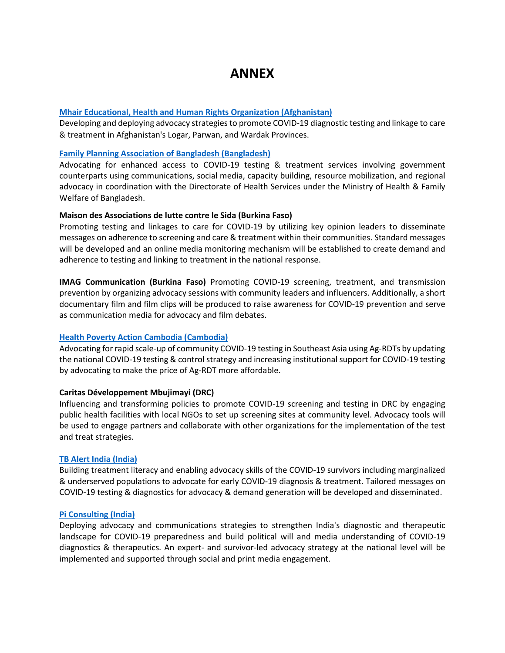# **ANNEX**

## **[Mhair Educational, Health and Human Rights Organization \(Afghanistan\)](https://mehhro.org/)**

Developing and deploying advocacy strategies to promote COVID-19 diagnostic testing and linkage to care & treatment in Afghanistan's Logar, Parwan, and Wardak Provinces.

#### **[Family Planning Association of Bangladesh \(Bangladesh\)](https://www.ippf.org/about-us/member-associations/bangladesh)**

Advocating for enhanced access to COVID-19 testing & treatment services involving government counterparts using communications, social media, capacity building, resource mobilization, and regional advocacy in coordination with the Directorate of Health Services under the Ministry of Health & Family Welfare of Bangladesh.

#### **Maison des Associations de lutte contre le Sida (Burkina Faso)**

Promoting testing and linkages to care for COVID-19 by utilizing key opinion leaders to disseminate messages on adherence to screening and care & treatment within their communities. Standard messages will be developed and an online media monitoring mechanism will be established to create demand and adherence to testing and linking to treatment in the national response.

**IMAG Communication (Burkina Faso)** Promoting COVID-19 screening, treatment, and transmission prevention by organizing advocacy sessions with community leaders and influencers. Additionally, a short documentary film and film clips will be produced to raise awareness for COVID-19 prevention and serve as communication media for advocacy and film debates.

# **[Health Poverty Action Cambodia \(Cambodia\)](https://www.healthpovertyaction.org/)**

Advocating for rapid scale-up of community COVID-19 testing in Southeast Asia using Ag-RDTs by updating the national COVID-19 testing & control strategy and increasing institutional support for COVID-19 testing by advocating to make the price of Ag-RDT more affordable.

#### **Caritas Développement Mbujimayi (DRC)**

Influencing and transforming policies to promote COVID-19 screening and testing in DRC by engaging public health facilities with local NGOs to set up screening sites at community level. Advocacy tools will be used to engage partners and collaborate with other organizations for the implementation of the test and treat strategies.

#### **[TB Alert India \(India\)](http://www.tbalertindia.org/)**

Building treatment literacy and enabling advocacy skills of the COVID-19 survivors including marginalized & underserved populations to advocate for early COVID-19 diagnosis & treatment. Tailored messages on COVID-19 testing & diagnostics for advocacy & demand generation will be developed and disseminated.

#### **[Pi Consulting \(India\)](https://piconsulting.in/)**

Deploying advocacy and communications strategies to strengthen India's diagnostic and therapeutic landscape for COVID-19 preparedness and build political will and media understanding of COVID-19 diagnostics & therapeutics. An expert- and survivor-led advocacy strategy at the national level will be implemented and supported through social and print media engagement.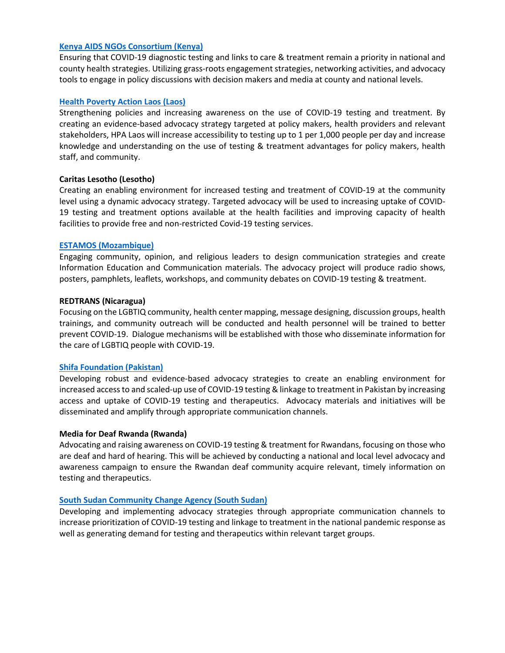## **[Kenya AIDS NGOs Consortium \(Kenya\)](http://www.kanco.org/)**

Ensuring that COVID-19 diagnostic testing and links to care & treatment remain a priority in national and county health strategies. Utilizing grass-roots engagement strategies, networking activities, and advocacy tools to engage in policy discussions with decision makers and media at county and national levels.

## **Health [Poverty Action Laos \(Laos\)](https://www.healthpovertyaction.org/)**

Strengthening policies and increasing awareness on the use of COVID-19 testing and treatment. By creating an evidence-based advocacy strategy targeted at policy makers, health providers and relevant stakeholders, HPA Laos will increase accessibility to testing up to 1 per 1,000 people per day and increase knowledge and understanding on the use of testing & treatment advantages for policy makers, health staff, and community.

## **Caritas Lesotho (Lesotho)**

Creating an enabling environment for increased testing and treatment of COVID-19 at the community level using a dynamic advocacy strategy. Targeted advocacy will be used to increasing uptake of COVID-19 testing and treatment options available at the health facilities and improving capacity of health facilities to provide free and non-restricted Covid-19 testing services.

## **[ESTAMOS \(Mozambique\)](https://estamos-moz.org/)**

Engaging community, opinion, and religious leaders to design communication strategies and create Information Education and Communication materials. The advocacy project will produce radio shows, posters, pamphlets, leaflets, workshops, and community debates on COVID-19 testing & treatment.

## **REDTRANS (Nicaragua)**

Focusing on the LGBTIQ community, health center mapping, message designing, discussion groups, health trainings, and community outreach will be conducted and health personnel will be trained to better prevent COVID-19. Dialogue mechanisms will be established with those who disseminate information for the care of LGBTIQ people with COVID-19.

#### **[Shifa Foundation \(Pakistan\)](http://www.shifafoundation.org/)**

Developing robust and evidence-based advocacy strategies to create an enabling environment for increased access to and scaled-up use of COVID-19 testing & linkage to treatment in Pakistan by increasing access and uptake of COVID-19 testing and therapeutics. Advocacy materials and initiatives will be disseminated and amplify through appropriate communication channels.

#### **Media for Deaf Rwanda (Rwanda)**

Advocating and raising awareness on COVID-19 testing & treatment for Rwandans, focusing on those who are deaf and hard of hearing. This will be achieved by conducting a national and local level advocacy and awareness campaign to ensure the Rwandan deaf community acquire relevant, timely information on testing and therapeutics.

#### **[South Sudan Community Change Agency \(South Sudan\)](http://www.sosucca.org/)**

Developing and implementing advocacy strategies through appropriate communication channels to increase prioritization of COVID-19 testing and linkage to treatment in the national pandemic response as well as generating demand for testing and therapeutics within relevant target groups.